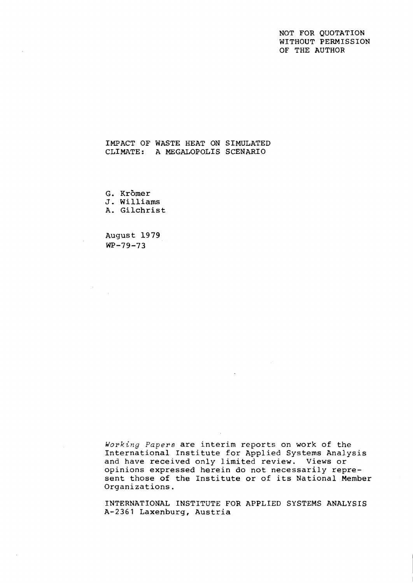# NOT FOR QUOTATION WITHOUT PERMISSION OF THE AUTHOR

# IMPACT OF WASTE HEAT ON SIMULATED CLIMATE: A MEGALOPOLIS SCENARIO

G. Krömer J. Williams A. Gilchrist

August 19 79  $WP-79-73$ 

 $\bar{A}$ 

Working Papers are interim reports on work of the International Institute for Applied Systems Analysis and have received only limited review. Views or opinions expressed herein do not necessarily represent those of the Institute or of its National Member Organizations.

INTERNATIONAL INSTITUTE FOR APPLIED SYSTEMS ANALYSIS **A-2361** Laxenburg, Austria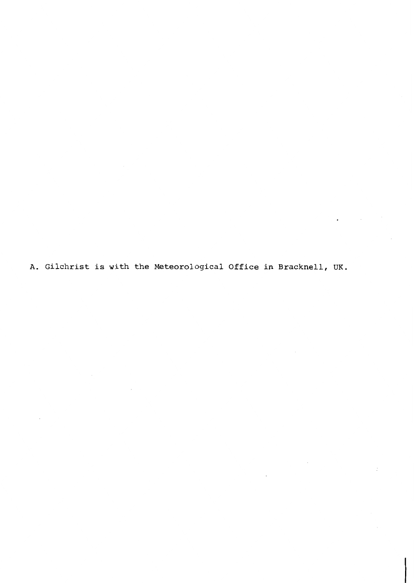A. Gilchrist is with the Meteorological Office in Bracknell, UK.

 $\sim 10^{-1}$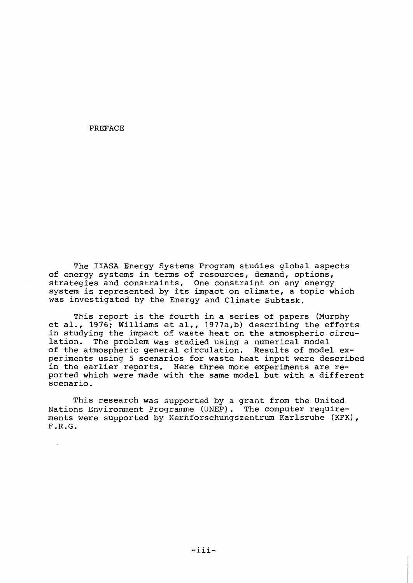PREFACE

The IIASA Energy Systems Program studies global aspects of energy systems in terms of resources, demand, options, strategies and constraints. One constraint on any energy system is represented by its impact on climate, a topic which was investigated by the Energy and Climate Subtask.

This report is the fourth in a series of papers (Murphy et al., 1976; Williams et al., 1977a,b) describing the efforts in studying the impact of waste heat on the atmospheric circulation. The problem was studied usinq a numerical model of the atmospheric general circulation. Results of model experiments using 5 scenarios for waste heat input were described in the earlier reports. Here three more experiments are reported which were made with the same model but with a different scenario.

This research was supported by a grant from the United Nations Environment Programme (UNEP). The computer requirements were supported by Kernforschungszentrum Karlsruhe (KFK),  $F.R.G.$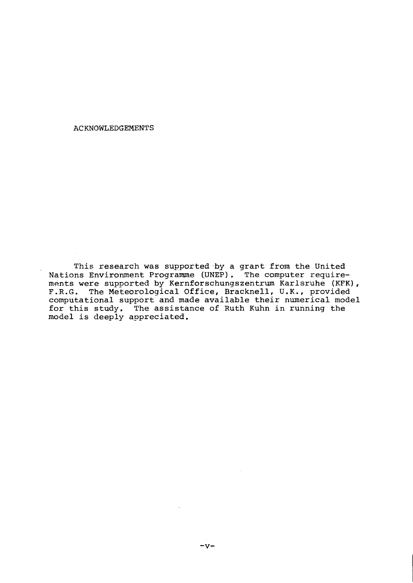ACKNOWLEDGEMENTS

This research was supported by a grant from the United Nations Environment Programme (UNEP). The computer requirements were supported by Kernforschungszentrwn Karlsruhe (KFK), F.R.G. The Meteorological Office, Bracknell, U.K., provided computational support and made available their numerical model for this study, The assistance of Ruth Kuhn in running the model is deeply appreciated,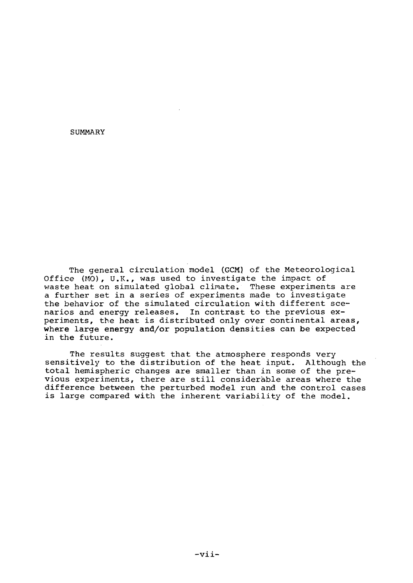SUMMARY

The general circulation model (GCM) of the Meteorological Office **(NO),** U.R., was used to investigate the impact of waste heat on simulated global climate. These experiments are a further set in a series of experiments made to investigate the behavior of the simulated circulation with different scenarios and energy releases. In contrast to the previous experiments, the heat is distributed only over continental areas, where large energy and/or population densities can be expected in the future.

The results suggest that the atmosphere responds very sensitively to the distribution of the heat input. Although the total hemispheric changes are smaller than in some of the previous experiments, there are still considerable areas where the difference between the perturbed model run and the control cases is large compared with the inherent variability of the model.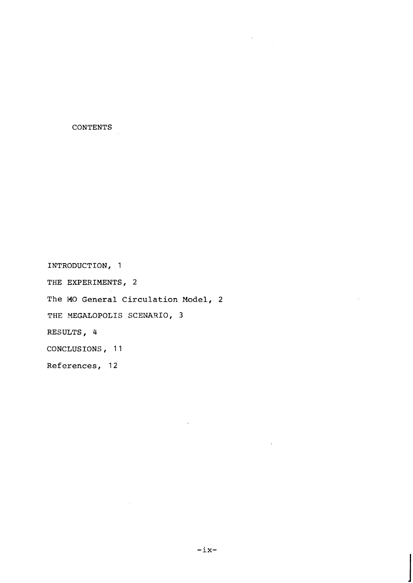**CONTENTS** 

**INTRODUCTION,** 1 **THE EXPERIMENTS,** 2 **The MO General Circulation Model, 2 THE YEGALOPOLIS SCENARIO, 3 RESULTS,** 4 **CONCLUSIONS** , **1 1**  References, 12

 $\sim$ 

 $\mathcal{F}^{\text{max}}_{\text{max}}$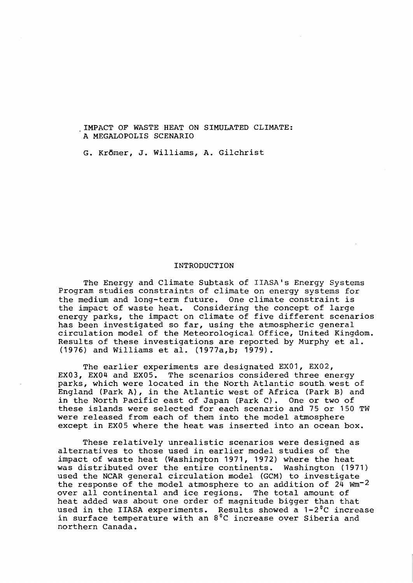.IMPACT OF WASTE HEAT ON SIMULATED CLIMATE: A MEGALOPOLIS SCENARIO

G. KrBmer, J. Williams, A. Gilchrist

## INTRODUCTION

The Energy and Climate Subtask of IIASA's Energy Systems Program studies constraints of climate on energy systems for the medium and long-term future. One climate constraint is the impact of waste heat. Considering the concept of large energy parks, the impact on climate of five different scenarios has been investigated so far, using the atmospheric general circulation model of the Meteorological Office, United Kingdom. Results of these investigations are reported by Murphy et al. (1976) and Williams et al. (1977a,b; 1979).

The earlier experiments are designated EX01, EX02, EX03, EX04 and EX05. The scenarios considered three energy parks, which were located in the North Atlantic south.west of England (Park A), in the Atlantic west of Africa (Park **B)** and in the North Pacific east of Japan (Park C). One or two of these islands were selected for each scenario and 75 or 150 TW were released from each of them into the model atmosphere except in EX05 where the heat was inserted into an ocean box.

These relatively unrealistic scenarios were designed as alternatives to those used in earlier model studies of the impact of waste heat (Washington 1971, 1972) where the heat was distributed over the entire continents. Washington (1971) used the NCAR general circulation model (GCM) to investigate the response of the model atmosphere to an addition of  $24$  Wm<sup>-2</sup> over all continental and ice regions. The total amount of heat added was about one order of magnitude bigger than that used in the IIASA experiments. Results showed a 1-2 $^0$ C increase in surface temperature with an  $8\,^{\circ}{\rm C}$  increase over Siberia and northern Canada.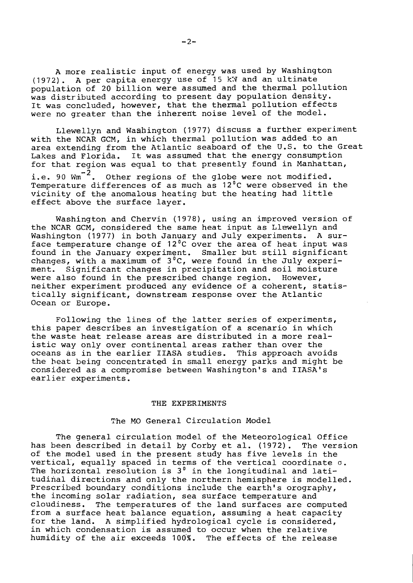A more realistic input of energy was used by Washington (1972). A per capita energy use of 15 kW and an ultimate population of 20 billion were assumed and the thermal pollution was distributed according to present day population density. It was concluded, however, that the thermal pollution effects were no greater than the inherent noise level of the model.

Llewellyn and Washington (1977) discuss a further experiment with the NCAR GCM, in which thermal pollution was added to an area extending from the Atlantic seaboard of the U.S. to the Great Lakes and Florida. It was assumed that the energy consumption for that region was equal to that presently found in Manhattan, i.e. 90  $\text{Wm}^{-2}$ . Other regions of the globe were not modified. Other regions of the globe were not modified. Temperature differences of as much as  $12^{\circ}$ C were observed in the vicinity of the anomalous heating but the heating had little effect above the surface layer.

Washington and Chervin (1978), using an improved version of the NCAR GCM, considered the same heat input as Llewellyn and Washington (1977) in both January and July experiments. A surface temperature change of  $12^{\circ}$ C over the area of heat input was found in the January experiment. Smaller but still significant changes, with a maximum of  $3\,^0\mathrm{C}$ , were found in the July experiment. Significant changes in precipitation and soil moisture were also found in the prescribed change region. However, neither experiment produced any evidence of a coherent, statistically significant, downstream response over the Atlantic Ocean or Europe.

Following the lines of the latter series of experiments, this paper describes an investigation of a scenario in which the waste heat release areas are distributed in a more realistic way only over continental areas rather than over the oceans as in the earlier IIASA studies. This approach avoids the heat being concentrated in small energy parks and might be considered as a compromise between Washington's and IIASA's earlier experiments.

### THE EXPERIMENTS

## The MO General Circulation Model

The general circulation model of the Meteorological Office has been described in detail by Corby et al. (1972). The version of the model used in the present study has five levels in the vertical, equally spaced in terms of the vertical coordinate  $\sigma$ . The horizontal resolution is 3<sup>0</sup> in the longitudinal and latitudinal directions and only the northern hemisphere is modelled. Prescribed boundary conditions include the earth's orography, the incoming solar radiation, sea surface temperature and cloudiness. The temperatures of the land surfaces are computed from a surface heat balance equation, assuming a heat capacity From a surrace heat barance equation, abbutting a neat capacity in which condensation is assumed to occur when the relative humidity of the air exceeds 100%. The effects of the release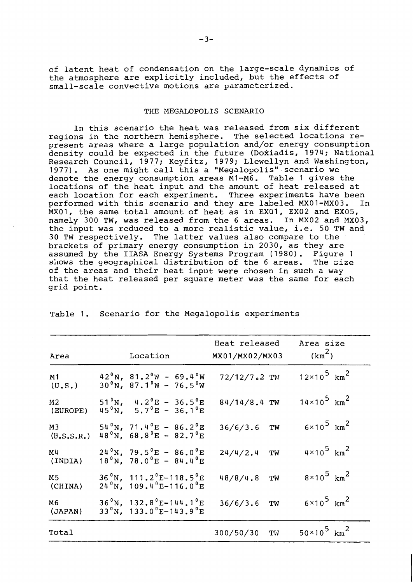of latent heat of condensation on the large-scale dynamics of the atmosphere are explicitly included, but the effects of small-scale convective motions are parameterized.

## THE MEGALOPOLIS SCENARIO

In this scenario the heat was released from six different regions in the northern hemisphere. The selected locations represent areas where a large population and/or energy consumption density could be expected in the future (Doxiadis, 1974; National Research Council, 1977; Keyfitz, 1979; Llewellyn and Washington, 1977). As one might call this a "Megalopolis" scenario we denote the energy consumption areas MI-M6. Table 1 gives the locations of the heat input and the amount of heat released at each location for each experiment. Three experiments have been each location for each experiment. Three experiments have been<br>performed with this scenario and they are labeled MX01-MX03. In performed with this scenario and they are labeled MX01-MX03. MXO1, the same total amount of heat as in EXOI, EX02 and EX05, namely 300 TW, was released from the 6 areas. In MX02 and MX03, the input was reduced to a more realistic value, i.e. 50 TW and 30 TW respectively. The latter values also compare to the brackets of primary energy consumption in 2030, as they are assumed by the IIASA Energy Systems Program (1980). Figure 1 shows the geographical distribution of the 6 areas. The size shows the geographical distribution of the 6 areas. of the areas and their heat input were chosen in such a way that the heat released per square meter was the same for each grid point.

|                            |                                                                                                                  | Heat released   | Area size                        |
|----------------------------|------------------------------------------------------------------------------------------------------------------|-----------------|----------------------------------|
| Area                       | Location                                                                                                         | MX01/MX02/MX03  | (km <sup>2</sup> )               |
| M <sub>1</sub><br>(U, S, ) | $42^{\circ}$ N, 81.2 $^{\circ}$ W - 69.4 $^{\circ}$ W<br>$30^{\circ}$ N, 87.1 $^{\circ}$ W - 76.5 $^{\circ}$ W   | 72/12/7.2 TW    | $12 \times 10^5$ km <sup>2</sup> |
| M <sub>2</sub><br>(EUROPE) | 51 <sup>°</sup> N, $4.2^{\circ}E - 36.5^{\circ}E$<br>45 <sup>°</sup> N, 5.7 <sup>°</sup> E - 36.1 <sup>°</sup> E | $84/14/8.4$ TW  | $14 \times 10^5$ km <sup>2</sup> |
| M3<br>(U, S, S, R)         | $54^{\circ}$ N, 71.4 $^{\circ}$ E - 86.2 $^{\circ}$ E<br>48°N, 68.8°E - 82.7°E                                   | $36/6/3.6$ TW   | $6 \times 10^5$ km <sup>2</sup>  |
| M <sup>4</sup><br>(INDIA)  | $24^{\circ}$ N, 79.5 $^{\circ}$ E - 86.0 $^{\circ}$ E<br>$18^{\circ}$ N, 78.0 $^{\circ}$ E - 84.4 $^{\circ}$ E   | 24/4/2.4<br>TW  | $4 \times 10^5$ km <sup>2</sup>  |
| M <sub>5</sub><br>(CHINA)  | $36^{\circ}$ N, 111.2 $^{\circ}$ E-118.5 $^{\circ}$ E<br>$24^{\circ}$ N, 109.4 $^{\circ}$ E-116.0 $^{\circ}$ E   | 48/8/4.8<br>TW  | $8\times10^{5}$ km <sup>2</sup>  |
| M6<br>(JAPAN)              | $36^{\circ}$ N, 132,8 $^{\circ}$ E-144,1 $^{\circ}$ E<br>$33^{\circ}$ N, 133.0 $^{\circ}$ E-143.9 $^{\circ}$ E   | $36/6/3.6$ TW   | $6\times10^5$ km <sup>2</sup>    |
| Total                      |                                                                                                                  | 300/50/30<br>TW | $50 \times 10^5$ km <sup>2</sup> |
|                            |                                                                                                                  |                 |                                  |

Table 1. Scenario for the Megalopolis experiments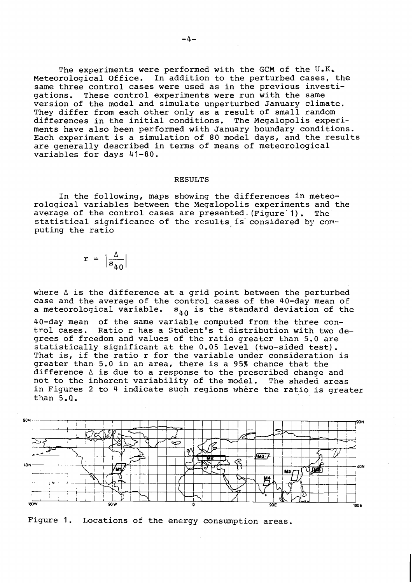The experiments were performed with the GCM of the **U.R,**  Meteorological Office. In addition to the perturbed cases, the same three control cases were used as in the previous investi-<br>gations. These control experiments were run with the same These control experiments were run with the same version of the model and simulate unperturbed January climate. They differ from each other only as a result of small random differences in the initial conditions. The Megalopolis experiments have also been performed with January boundary conditions. Each experiment is a simulation of 80 model days, and the results are generally described in terms of means of meteorological variables for days 41-80.

### RESULTS

In the following, maps showing the differences in meteorological variables between the Megalopolis experiments and the average of the control cases are presented-(Figure'l). The' statistical significance of the results is considered by computing the ratio

$$
r = \left| \frac{\Delta}{s_{40}} \right|
$$

where  $\Delta$  is the difference at a grid point between the perturbed case and the average of the control cases of the 40-day mean of<br>a meteorological variable.  $s_{n_0}$  is the standard deviation of the  $s_{40}$  is the standard deviation of the

40-day mean of the same variable computed from the three control cases. Ratio r has a Student's t distribution with two degrees of freedom and values of the ratio greater than 5.0 are statistically significant at the 0.05 level (two-sided test). That is, if the ratio r for the variable under consideration is greater than 5.0 in an area, there is a 95% chance that the  $d$ ifference  $\Delta$  is due to a response to the prescribed change and not to the inherent variability of the model. The shaded areas in Figures 2 to 4 indicate such regions where the ratio is greater than 5.0.



Figure 1. Locations of the energy consumption areas.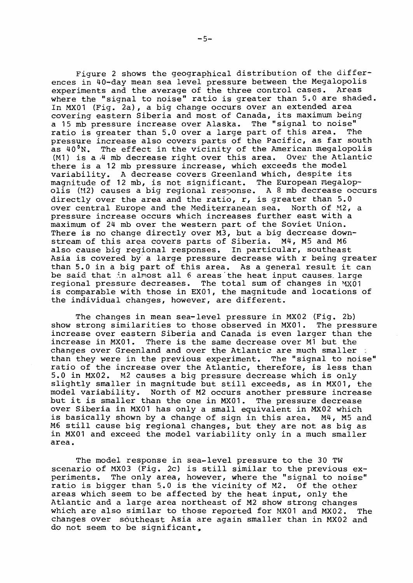Figure 2 shows the geographical distribution of the differences in 40-day mean sea level pressure between the Megalopolis<br>experiments and the average of the three control cases. Areas experiments and the average of the three control cases. where the "signal to noise" ratio is greater than 5.0 are shaded. In MXOl (Fig. 2a), a big change occurs over an extended area covering eastern Siberia and most of Canada, its maximum being a 15 mb pressure increase over Alaska. The "signal to noise" and increase over Alaska. The ratio is greater than ratio is greater than 5.0 over a large part of this area. pressure increase also covers parts of the Pacific, as far south as  $40^{\circ}$ N. The effect in the vicinity of the American megalopolis (M1) is a  $/4$  mb decrease right over this area. Over the Atlantic  $(M1)$  is a  $/4$  mb decrease right over this area. there is a 12 mb pressure increase, which exceeds the model variability. A decrease covers Greenland which, despite its magnitude of 12 mb, is not significant. The European megalopolis (M2) causes a big regional response. A 8 mb decrease occurs directly over the area and the ratio, r, is greater than 5.0 over central Europe and the Mediterranean sea. North of M2, a pressure increase occurs which increases further east with a maximum of 24 mb over the western part of the Soviet Union. There is no change directly over M3, but a big decrease downstream of this area covers parts of Siberia. M4, M5 and M6 also cause big regional responses. In particular, southeast Asia is covered by a large pressure decrease with r being greater than 5.0 in a big part of this area. As a general result it can be said that in almost all 6 areas the heat input causes large regional pressure decreases. The total sum of changes in  $MX01$ is comparable with those in EXO1, the magnitude and locations of the individual changes, however, are different.

The changes in mean sea-level pressure in MX02 (Fig. 2b) show strong similarities to those observed in MXO1. The pressure increase over eastern Siberia and Canada is even larger than the increase in MX01. There is the same decrease over M1 but the changes over Greenland and over the Atlantic are much smaller than they were in the previous experiment. The "signal to noise" ratio of the increase over the Atlantic, therefore, is less than 5.0 in MX02. M2 causes a big pressure decrease which is only slightly smaller in magnitude but still exceeds, as in MXO1, the model variability. North of M2 occurs another pressure increase but it is smaller than the one in MXO1. The pressure decrease over Siberia in MXO1 has only a small equivalent in MX02 which is basically shown by a change of sign in this area. M4, M5 and M6 still cause big regional changes, but they are not as big as in MX01 and exceed the model variability only in a much smaller area.

The model response in sea-level pressure to the 30 TW scenario of MX03 (Fig. 2c) is still similar to the previous ex-<br>periments. The only area, however, where the "signal to noise" The only area, however, where the "signal to noise" ratio is bigger than 5.0 is the vicinity of M2. Of the other areas which seem to be affected by the heat input, only the Atlantic and a large area northeast of M2 show strong changes which are also similar to those reported for MXOl and MX02. The changes over southeast Asia are again smaller than in MX02 and do not seem to be significant,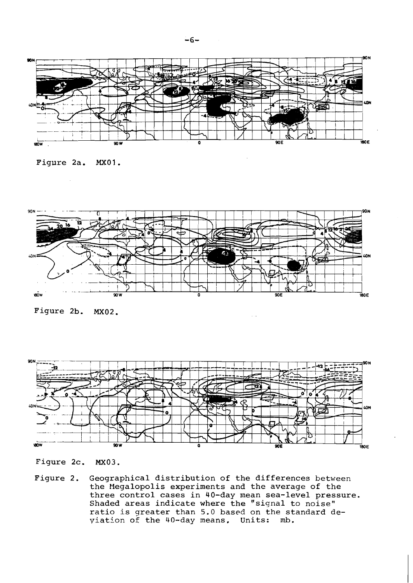









Figure 2c. MX03.

Figure 2. Geographical distribution of the differences between he Megalopolis experiments and the average of the three control cases in 40-day mean sea-level pressure. Shaded areas indicate where the "signal to noise" ratio is qreater than 5.0 based on the standard deviation of the 40-day means. Units: **mb.**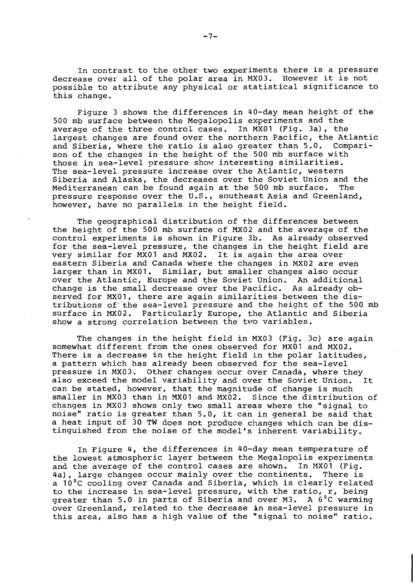In contrast to the other two experiments there is a pressure decrease over all of the polar area in MX03. However it is not possible to attribute any physical or statistical significance to this change.

Figure 3 shows the differences in 40-day mean height of the 500 mb surface between the Megalopolis experiments and the average of the three control cases. In MXOl (Fig. 3a), the largest changes are found over the northern Pacific, the Atlantic<br>and Siberia, where the ratio is also greater than 5.0. Compariand Siberia, where the ratio is also greater than 5.0. son of the changes in the height of the 500 **rnb** surface with those in sea-level pressure show interesting similarities. The sea-level pressure increase over the Atlantic, western Siberia and Alaska, the decreases over the Soviet Union and the<br>Mediterranean can be found again at the 500 mb surface. The Mediterranean can be found again at the 500 mb surface. pressure response over the U.S., southeast Asia and Greenland, however, have no parallels in the height field.

The geographical distribution of the differences between the height of the 500 **mb** surface of MX02 and the average of the control experiments is shown in Figure 3b. As already observed for the sea-level pressure, the changes in the height field are very similar for MXOl and MX02. It is again the area over eastern Siberia and Canada where the changes in MX02 are even larger than in MXO1. Similar, but smaller changes also occur over the Atlantic, Europe and the Soviet Union. An additional change is the small decrease over the Pacific. As already observed for MXO1, there are again similarities between the distributions of'the sea-level pressure and the height of the 500 mb surface in MX02. Particularly Europe, the Atlantic and Siberia show a strong correlation between the two variables.

The changes in the height field in MX03 (Fig. 3c) are again somewhat different from the ones observed for MXOl and MX02. There is a decrease in the height field in the polar latitudes, a pattern which has already been observed for the sea-level pressure in MX03. Other changes occur over Canada, where they also exceed the model variability and over the Soviet Union. It can be stated, however, that the magnitude of change is much smaller in MX03 than in MX01 and MX02. Since the distribution of smaller in MX03 than in MX01 and MX02. changes in MX03 shows only two small areas where the "signal to noise" ratio is greater than 5.0, it can in general be said that a heat input of 30 TW does not produce changes which can be distinguished from the noise of the model's inherent variability.

In Figure 4, the differences in 40-day mean temperature of the lowest atmospheric layer between the Megalopolis experiments and the average of the control cases are shown. In MX01 (Fig.<br>4a), large changes occur mainly over the continents. There is 4a), large changes occur mainly over the continents. a lo°C cooling over Canada and Siberia, which is clearly related to the increase in sea-level pressure, with the ratio, r, being greater than 5.0 in parts of Siberia and over M3. A  $6^{\circ}$ C warming over Greenland, related to the decrease in sea-level pressure in this area, also has a high value of the "signal to noise" ratio.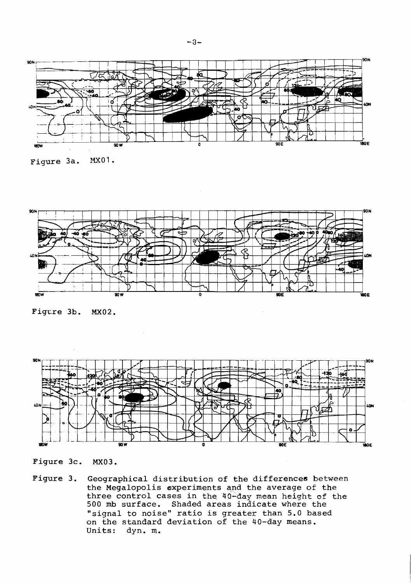

Figure 3a. MXO1.



Figure 3b. MX02.



Figure 3c. MX03.

Figure 3. Geographical distribution of the differences between the Megalopolis experiments and the average of the three control cases in the 40-day mean height of the 500 **mb** surface. Shaded areas indicate where the "signal to noise" ratio is greater than 5.0 based on the standard deviation of the 40-day means. dyn. m.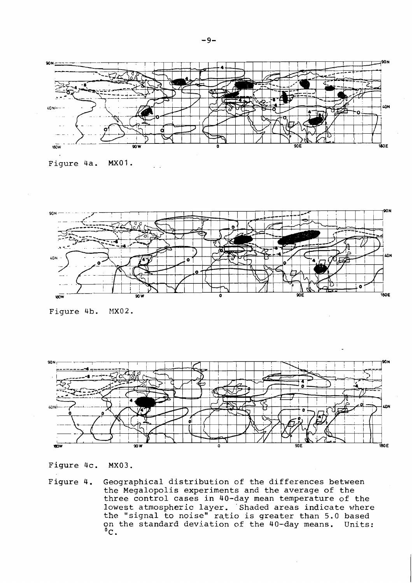





Figure 4b.  $MX02.$ 



Figure 4c. MX03.

Figure 4. Geographical distribution of the differences between the Megalopolis experiments and the average of the three control cases in 40-day mean temperature of the lowest atmospheric layer. 'Shaded areas indicate where the "signal to noise" ratio is greater than 5.0 based on the standard deviation of the 40-day means. Units:  $^{\circ}$ c.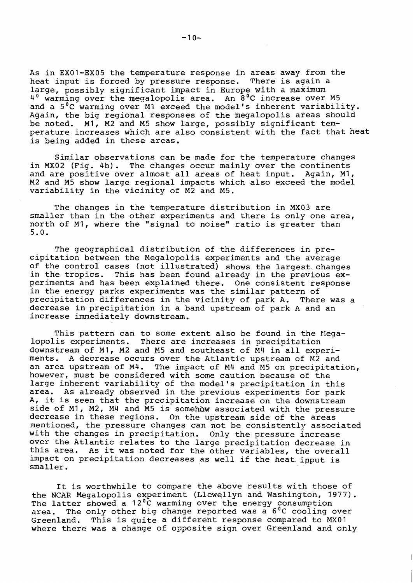As in EXO1-EX05 the temperature response in areas away from the heat input is forced by pressure response. There is again a large, possibly significant impact in Europe with a maximum 4<sup>0</sup> warming over the megalopolis area. An 8<sup>0</sup>C increase over M5 and a  $5^{\circ}$ C warming over M1 exceed the model's inherent variability. Again, the big regional responses of the megalopolis areas should be noted. MI, M2 and M5 show large, possibly significant temperature increases which are also consistent with the fact that heat is being added in these areas.

Similar observations can be made for the temperature changes in MX02 (Fig. 4b). The changes occur mainly over the continents and are positive over almost all areas of heat input. Again, MI, M2 and M5 show large regional impacts which also exceed the model variability in the vicinity of M2 and M5.

The changes in the temperature distribution in MX03 are smaller than in the other experiments and there is only one area, north of MI, where the "signal to noise" ratio is greater than 5.0.

The geographical distribution of the differences in precipitation between the Megalopolis experiments and the average of the control cases (not illustrated) shows the largest changes in the tropics. This has been found already in the previous experiments and has been explained there. One consistent response in the energy parks experiments was the similar pattern of precipitation differences in the vicinity of park A. There was a decrease in precipitation in a band upstream of park A and an increase immediately downstream.

This pattern can to some extent also be found in the Megalopolis experinents. There are increases in precipitation downstream of MI, M2 and M5 and southeast of M4 in all experiments. A decrease occurs over the Atlantic upstream of M2 and an area upstream of M4. The impact of M4 and M5 on precipitation, however, must be considered with some caution because of the large inherent variability of the model's precipitation in this area. As already observed in the previous experiments for park area. As already observed in the previous experiments for park<br>A, it is seen that the precipitation increase on the downstream side of MI, M2, M4 and M5 is somehhu associated with the pressure decrease in these regions. On the upstream side of the areas mentioned, the pressure changes can not be consistently associated with the changes in precipitation. Only the pressure increase over the Atlantic relates to the large precipitation decrease in over tne Atlantic relates to the large precipitation decrease in<br>this area. As it was noted for the other variables, the overall impact on precipitation decreases as well if the heat input is smaller.

It is worthwhile to compare the above results with those of the NCAR Megalopolis experiment (Llewellyn and Washington, 1977). The latter showed a  $12^{\circ}$ C warming over the energy consumption area. The only other big change reported was  $a^6C$  cooling over Greenland. This is quite a different response compared to MXOl where there was a change of opposite sign over Greenland and only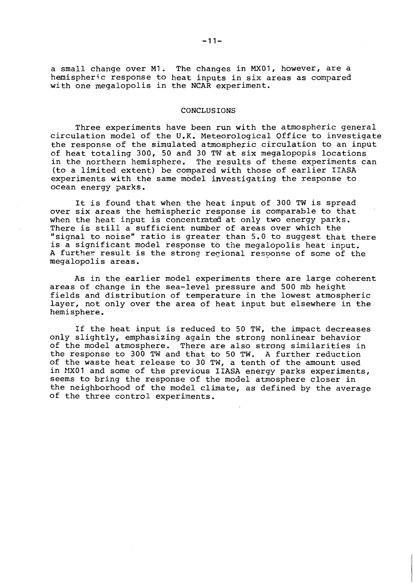a small change over **MI.** The changes in **MXO1,** however, are a hemispheric response to heat inputs in six areas as compared with one megalopolis in the NCAR experiment.

#### CONCLUSIONS

Three experiments have been run with the atmospheric general circulation model of the U.K. Meteorological Office to investigate the response of the simulated atmospheric circulation to an input of heat totaling **300, 50** and **30** TW at six megalopopis locations in the northern hemisphere. The results of these experiments can (to a limited extent) be compared with those of earlier IIASA experiments with the same model investigating the response to ocean energy parks.

It is found that when the heat input of **300** TW is spread over six areas the hemispheric response is comparable to that when the heat input is concentrated at only two energy parks. There is still a sufficient number of areas over which the "signal to noise" ratio is greater than **5.0** to suggest that there is a significant model response to the megalopolis heat input. A further result is the strong regional response of some of the megalopolis areas.

As in the earlier model experiments there are large coherent areas of change in the sea-level pressure and **500** mb height fields and distribution of temperature in the lowest atmospheric layer, not only over the area of heat input but elsewhere in the. hemisphere.

If the heat input is reduced to **50** TW, the impact decreases only slightly, emphasizing again the strong nonlinear behavior of the model atmosphere. There are also strong similarities in the response to **300** TW and that to **50** TW. A further reduction of the waste heat release to **30** TW, a tenth of the amount used in MX01 and some of the previous IIASA energy parks experiments, seems to bring the response of the model atmosphere closer in the neighborhood of the model climate, as defined by the average of the three control experiments.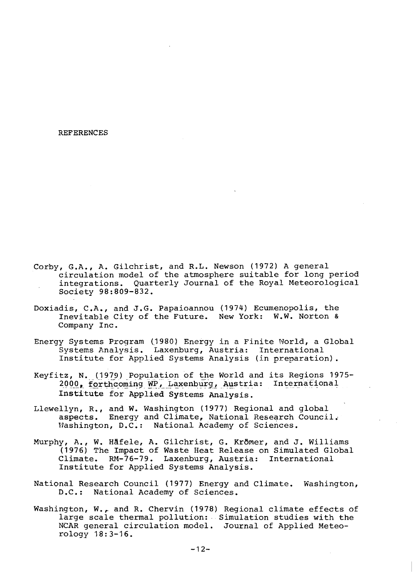**REFERENCES** 

- Corby, G.A., A. Gilchrist, and R.L. Newson (1972) A general circulation model of the atmosphere suitable for long period integrations. Quarterly Journal of the Royal Meteorological Society 98:809-832.
- Doxiadis, C.A., and J.G. Papaioannou (1974) Ecumenopolis, the Inevitable City of the Future. New York: W.W. Norton & Company Inc.
- Energy Systems Program (1980) Energy in a Finite World, a Global Systems Analysis. Laxenburg, Austria: International Institute for Applied Systems Analysis (in preparation).
- Keyfitz, N. (1979) Population of the World and its Regions 1975-2000, forthcoming WP, Laxenburg, Austria: International Institute for Applied Systems Analysis.
- Llewellyn, R., and W. Washington (1977) Regional and global aspects. Energy and Climate, National Research Council. Washington, D.C.: National Academy of Sciences.
- Murphy, A., W. Häfele, A. Gilchrist, G. Krömer, and J. Williams (1976) The Impact of Waste Heat Release on Simulated Global Climate. RM-76-79. Laxenburg, Austria: International Institute for Applied Systems Analysis.
- National Research Council (1977) Energy and Climate. Washington,  $D.C.$ : National Academy of Sciences.
- Washington, W., and R. Chervin (1978) Regional climate effects of large scale thermal pollution: Simulation studies with the NCAR general circulation model. Journal of Applied Meteorology 18:3-16.